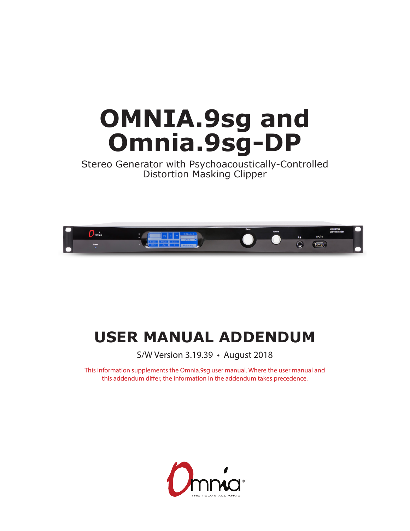# **OMNIA.9sg and Omnia.9sg-DP**

Stereo Generator with Psychoacoustically-Controlled Distortion Masking Clipper



# **USER MANUAL ADDENDUM**

S/W Version 3.19.39 • August 2018

This information supplements the Omnia.9sg user manual. Where the user manual and this addendum differ, the information in the addendum takes precedence.

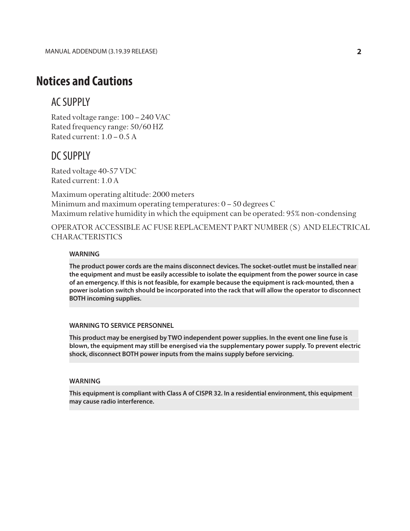# **Notices and Cautions**

## AC SUPPLY

Rated voltage range: 100 – 240 VAC Rated frequency range: 50/60 HZ Rated current: 1.0 – 0.5 A

## DC SUPPLY

Rated voltage 40-57 VDC Rated current: 1.0 A

Maximum operating altitude: 2000 meters Minimum and maximum operating temperatures: 0 – 50 degrees C Maximum relative humidity in which the equipment can be operated: 95% non-condensing

OPERATOR ACCESSIBLE AC FUSE REPLACEMENT PART NUMBER(S) AND ELECTRICAL **CHARACTERISTICS** 

## **WARNING**

**The product power cords are the mains disconnect devices. The socket-outlet must be installed near the equipment and must be easily accessible to isolate the equipment from the power source in case of an emergency. If this is not feasible, for example because the equipment is rack-mounted, then a power isolation switch should be incorporated into the rack that will allow the operator to disconnect BOTH incoming supplies.**

## **WARNING TO SERVICE PERSONNEL**

**This product may be energised by TWO independent power supplies. In the event one line fuse is blown, the equipment may still be energised via the supplementary power supply. To prevent electric shock, disconnect BOTH power inputs from the mains supply before servicing.**

## **WARNING**

**This equipment is compliant with Class A of CISPR 32. In a residential environment, this equipment may cause radio interference.**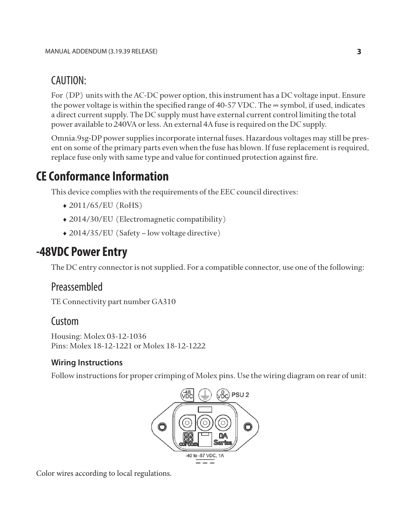# CAUTION:

For (DP) units with the AC-DC power option, this instrument has a DC voltage input. Ensure the power voltage is within the specified range of 40-57 VDC. The  $=$  symbol, if used, indicates a direct current supply. The DC supply must have external current control limiting the total power available to 240VA or less. An external 4A fuse is required on the DC supply.

Omnia.9sg-DP power supplies incorporate internal fuses. Hazardous voltages may still be present on some of the primary parts even when the fuse has blown. If fuse replacement is required, replace fuse only with same type and value for continued protection against fire.

# **CE Conformance Information**

This device complies with the requirements of the EEC council directives:

- ♦ 2011/65/EU (RoHS)
- ♦ 2014/30/EU (Electromagnetic compatibility)
- ♦ 2014/35/EU (Safety low voltage directive)

# **-48VDC Power Entry**

The DC entry connector is not supplied. For a compatible connector, use one of the following:

## Preassembled

TE Connectivity part number GA310

## Custom

Housing: Molex 03-12-1036 Pins: Molex 18-12-1221 or Molex 18-12-1222

## **Wiring Instructions**

Follow instructions for proper crimping of Molex pins. Use the wiring diagram on rear of unit:



Color wires according to local regulations.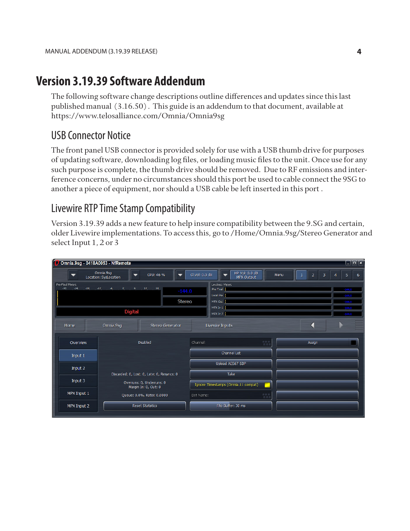# **Version 3.19.39 Software Addendum**

The following software change descriptions outline differences and updates since this last published manual (3.16.50). This guide is an addendum to that document, available at https://www.telosalliance.com/Omnia/Omnia9sg

# USB Connector Notice

The front panel USB connector is provided solely for use with a USB thumb drive for purposes of updating software, downloading log files, or loading music files to the unit. Once use for any such purpose is complete, the thumb drive should be removed. Due to RF emissions and interference concerns, under no circumstances should this port be used to cable connect the 9SG to another a piece of equipment, nor should a USB cable be left inserted in this port .

# Livewire RTP Time Stamp Compatibility

Version 3.19.39 adds a new feature to help insure compatibility between the 9.SG and certain, older Livewire implementations. To access this, go to /Home/Omnia.9sg/Stereo Generator and select Input 1, 2 or 3

| $\Box$ io (x)<br>Omnia.9sg - 0418A0053 - NfRemote                                                                                                      |                                                   |                                                             |                  |                                                                                       |     |  |                |        |                                                          |   |          |
|--------------------------------------------------------------------------------------------------------------------------------------------------------|---------------------------------------------------|-------------------------------------------------------------|------------------|---------------------------------------------------------------------------------------|-----|--|----------------|--------|----------------------------------------------------------|---|----------|
|                                                                                                                                                        | Omnia.9sg<br>Location: SysLocation                | HP Vol: 0.0 dB<br>Cl Vol: 0.0 dB<br>Menu<br>▼<br>MPX Output |                  |                                                                                       |     |  | $\overline{2}$ | 3      | 5                                                        | 6 |          |
| Pre-Final Meters<br>$-12$<br>$-6$<br>$\bullet$<br>$\epsilon$<br>$12\,$<br>$-30$<br>$-24$<br>$-18$<br>18<br>$-144.0$<br><b>Stereo</b><br><b>Digital</b> |                                                   |                                                             |                  | <b>Loudness Meters</b><br>Pre Final<br>Local Pre<br>MPX Out  <br>MPX In 1<br>MPX In 2 |     |  |                |        | $-144.0$<br>$-144.0$<br>$-144.0$<br>$-144.0$<br>$-144.0$ |   |          |
| Home                                                                                                                                                   | Omnia.9sq                                         | <b>Stereo Generator</b>                                     |                  | Livewire Inputs                                                                       |     |  |                |        |                                                          |   | $\equiv$ |
| Overview                                                                                                                                               |                                                   | <b>Disabled</b>                                             | Channel:         |                                                                                       | 世界期 |  |                | Assign |                                                          |   |          |
| Input 1                                                                                                                                                |                                                   |                                                             |                  | <b>Channel List</b>                                                                   |     |  |                |        |                                                          |   |          |
| Input 2                                                                                                                                                |                                                   |                                                             |                  | Upload AES67 SDP                                                                      |     |  |                |        |                                                          |   |          |
|                                                                                                                                                        | Discarded: 0, Lost: 0, Late: 0, Resyncs: 0        | Take                                                        |                  |                                                                                       |     |  |                |        |                                                          |   |          |
| Input 3                                                                                                                                                | Overruns: 0, Underruns: 0<br>Margin In: 0, Out: 0 | Ignore Timestamps (Omnia.11 compat)                         |                  |                                                                                       |     |  |                |        |                                                          |   |          |
| MPX Input 1                                                                                                                                            | Queue: 0.0%, Ratio: 0.0000                        |                                                             | 言言言<br>Dst Name: |                                                                                       |     |  |                |        |                                                          |   |          |
| MPX Input 2                                                                                                                                            | <b>Reset Statistics</b>                           |                                                             |                  | Fifo Buffer: 30 ms                                                                    |     |  |                |        |                                                          |   |          |
|                                                                                                                                                        |                                                   |                                                             |                  |                                                                                       |     |  |                |        |                                                          |   |          |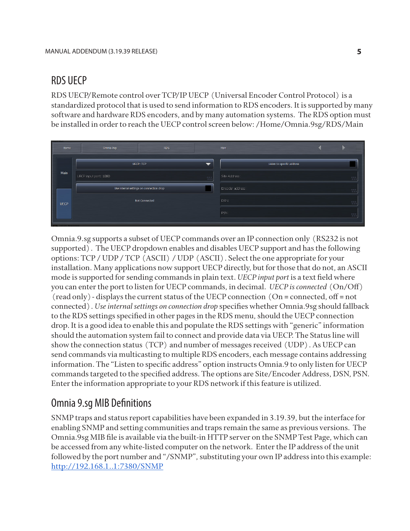## RDS UECP

RDS UECP/Remote control over TCP/IP UECP (Universal Encoder Control Protocol) is a standardized protocol that is used to send information to RDS encoders. It is supported by many software and hardware RDS encoders, and by many automation systems. The RDS option must be installed in order to reach the UECP control screen below: /Home/Omnia.9sg/RDS/Main

| Home        | Omnia.9sg                                | <b>RDS</b>       |                          | Main                       | $\equiv$                                                              |
|-------------|------------------------------------------|------------------|--------------------------|----------------------------|-----------------------------------------------------------------------|
|             |                                          | <b>UECP: TCP</b> | $\overline{\phantom{0}}$ | Listen to specific address |                                                                       |
| Main        | LECP input port: 1080                    |                  |                          | Site Address:              | 見見見                                                                   |
|             | Use internal settings on connection drop |                  |                          | Encoder address:           | $\frac{1}{\alpha} \frac{1}{\alpha} \frac{1}{\alpha} \frac{1}{\alpha}$ |
| <b>UECP</b> | Not Connected                            |                  |                          | DSN:                       | <b>RRR</b>                                                            |
|             |                                          |                  |                          | PSN:                       | $\frac{12}{16} \frac{12}{16} \frac{12}{16}$                           |
|             |                                          |                  |                          |                            |                                                                       |

Omnia.9.sg supports a subset of UECP commands over an IP connection only (RS232 is not supported). The UECP dropdown enables and disables UECP support and has the following options: TCP / UDP / TCP (ASCII) / UDP (ASCII). Select the one appropriate for your installation. Many applications now support UECP directly, but for those that do not, an ASCII mode is supported for sending commands in plain text. *UECP input port* is a text field where you can enter the port to listen for UECP commands, in decimal. *UECP is connected* (On/Off) (read only)- displays the current status of the UECP connection (On = connected, off = not connected). *Use internal settings on connection drop* specifies whether Omnia.9sg should fallback to the RDS settings specified in other pages in the RDS menu, should the UECP connection drop. It is a good idea to enable this and populate the RDS settings with "generic" information should the automation system fail to connect and provide data via UECP. The Status line will show the connection status (TCP) and number of messages received (UDP). As UECP can send commands via multicasting to multiple RDS encoders, each message contains addressing information. The "Listen to specific address" option instructs Omnia.9 to only listen for UECP commands targeted to the specified address. The options are Site/Encoder Address, DSN, PSN. Enter the information appropriate to your RDS network if this feature is utilized.

## Omnia 9.sg MIB Definitions

SNMP traps and status report capabilities have been expanded in 3.19.39, but the interface for enabling SNMP and setting communities and traps remain the same as previous versions. The Omnia.9sg MIB file is available via the built-in HTTP server on the SNMP Test Page, which can be accessed from any white-listed computer on the network. Enter the IP address of the unit followed by the port number and "/SNMP", substituting your own IP address into this example: http://192.168.1..1:7380/SNMP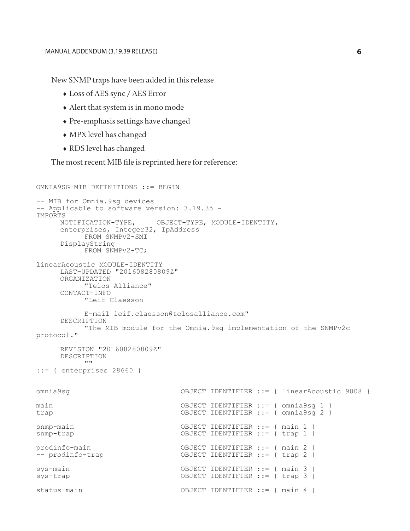New SNMP traps have been added in this release

- ♦ Loss of AES sync / AES Error
- ♦ Alert that system is in mono mode
- ♦ Pre-emphasis settings have changed
- ♦ MPX level has changed
- ♦ RDS level has changed

The most recent MIB file is reprinted here for reference:

```
OMNIA9SG-MIB DEFINITIONS ::= BEGIN
-- MIB for Omnia.9sg devices
-- Applicable to software version: 3.19.35 - 
IMPORTS<br>NOTIFICATION-TYPE,
     NOTIFICATION-TYPE, OBJECT-TYPE, MODULE-IDENTITY, 
     enterprises, Integer32, IpAddress
           FROM SNMPv2-SMI
     DisplayString
           FROM SNMPv2-TC;
linearAcoustic MODULE-IDENTITY
     LAST-UPDATED "201608280809Z"
     ORGANIZATION 
          "Telos Alliance"
     CONTACT-INFO 
           "Leif Claesson 
      E-mail leif.claesson@telosalliance.com"
          "The MIB module for the Omnia.9sg implementation of the SNMPv2c
protocol."
     REVISION "201608280809Z"
     DESCRIPTION ""
::= { enterprises 28660 }
omnia9sg OBJECT IDENTIFIER ::= { linearAcoustic 9008 }
main
main OBJECT IDENTIFIER ::= { omnia9sg 1 }
                              OBJECT IDENTIFIER ::= { omnia9sg 2 }
snmp-main
snmp-main OBJECT IDENTIFIER ::= { main 1 }
                               OBJECT IDENTIFIER ::= { trap 1 }
prodinfo-main
prodinfo-main OBJECT IDENTIFIER ::= { main 2 }
                              OBJECT IDENTIFIER := { trap 2 }
sys-main
sys-main OBJECT IDENTIFIER ::= { main 3 }
                               OBJECT IDENTIFIER ::= { trap 3 }
status-main
                               OBJECT IDENTIFIER ::= { main 4 }
```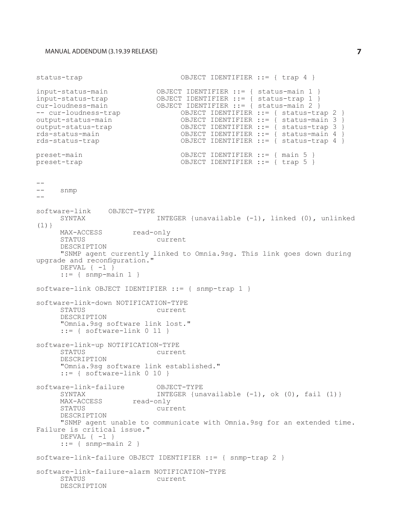status-trap OBJECT IDENTIFIER ::= { trap 4 } input-status-main<br>input-status-trap<br>cur-loudness-main OBJECT IDENTIFIER ::= { status-main 1 } input-status-trap OBJECT IDENTIFIER ::= { status-trap 1 } cur-loudness-main OBJECT IDENTIFIER ::= { status-main 2 } -- cur-loudness-trap OBJECT IDENTIFIER ::= { status-trap 2 } output-status-main<br>
output-status-trap<br>
OBJECT IDENTIFIER ::= { status-trap 3 }<br>  $\frac{1}{1}$ <br>
OBJECT IDENTIFIER ::= { status-trap 3 } output-status-trap OBJECT IDENTIFIER ::= { status-trap 3 } rds-status-main<br>
rds-status-trap<br>
rds-status-trap<br>
(DBJECT IDENTIFIER := { status-trap 4 } OBJECT IDENTIFIER ::= { status-trap 4 } preset-main preset-main OBJECT IDENTIFIER ::= { main 5 } OBJECT IDENTIFIER  $:=$  { trap 5 } - snmp - software-link OBJECT-TYPE INTEGER {unavailable  $(-1)$ , linked  $(0)$ , unlinked  $(1)$ } MAX-ACCESS read-only<br>STATUS curr current DESCRIPTION "SNMP agent currently linked to Omnia.9sg. This link goes down during upgrade and reconfiguration." DEFVAL  $\{-1\}$  $::= {$  snmp-main 1 } software-link OBJECT IDENTIFIER ::= { snmp-trap 1 } software-link-down NOTIFICATION-TYPE current DESCRIPTION "Omnia.9sg software link lost."  $::=$  { software-link  $0$  11 } software-link-up NOTIFICATION-TYPE current DESCRIPTION "Omnia.9sg software link established."  $::=$  { software-link  $0$  10 } software-link-failure OBJECT-TYPE INTEGER {unavailable  $(-1)$ , ok  $(0)$ , fail  $(1)$  } MAX-ACCESS read-only<br>STATUS current DESCRIPTION "SNMP agent unable to communicate with Omnia.9sg for an extended time. Failure is critical issue." DEFVAL  $\{-1\}$  $::=$  { snmp-main 2 } software-link-failure OBJECT IDENTIFIER ::= { snmp-trap 2 } software-link-failure-alarm NOTIFICATION-TYPE Current DESCRIPTION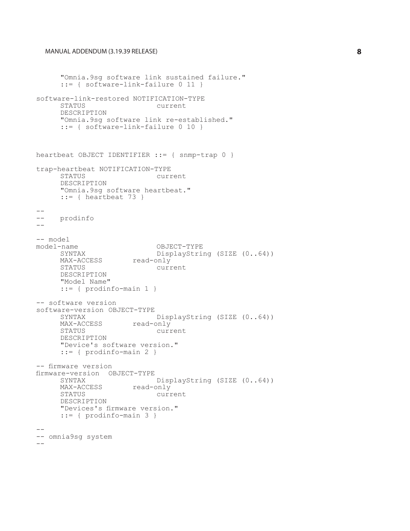```
"Omnia.9sg software link sustained failure."
      ::= { software-link-failure 0 11 }
software-link-restored NOTIFICATION-TYPE
                            current
      DESCRIPTION
      "Omnia.9sg software link re-established."
      ::= { software-link-failure 0 10 }
heartbeat OBJECT IDENTIFIER : = { snmp-trap 0 }
trap-heartbeat NOTIFICATION-TYPE
                    current
      DESCRIPTION
      "Omnia.9sg software heartbeat."
     ::= { heartbeat 73 }
--
    prodinfo
--
-- model<br>model-name
     -name OBJECT-TYPE<br>SYNTAX DisplayStri
                       DisplayString (SIZE (0..64))<br>read-only
     MAX-ACCESS<br>STATUS
                             current
     DESCRIPTION
      "Model Name"
      ::= { prodinfo-main 1 }
-- software version
software-version OBJECT-TYPE
                       DisplayString (SIZE (0..64))<br>read-only
     MAX-ACCESS<br>STATUS
                             current
      DESCRIPTION
      "Device's software version."
     ::= { prodinfo-main 2 }
-- firmware version
firmware-version OBJECT-TYPE
                        DisplayString (SIZE (0..64))<br>read-only
     MAX-ACCESS<br>STATUS
                             current
     DESCRIPTION
      "Devices's firmware version."
      ::= { prodinfo-main 3 }
--- omnia9sg system
-
```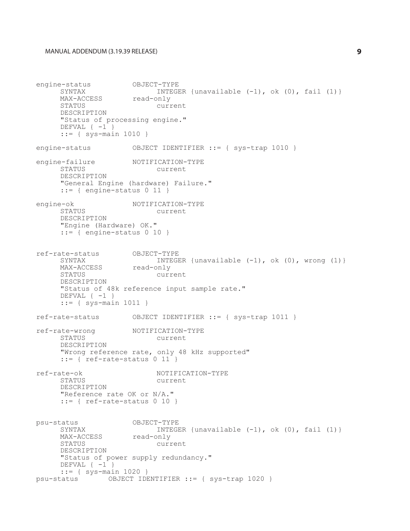```
engine-status OBJECT-TYPE<br>SYNTAX INTEGE
                       INTEGER {unavailable (-1), ok (0), fail (1)}<br>read-only
     MAX-ACCESS<br>STATUS
                             current
     DESCRIPTION
      "Status of processing engine."
     DEFVAL \{-1\}::= { sys-main 1010 }
engine-status OBJECT IDENTIFIER ::= { sys-trap 1010 }
engine-failure NOTIFICATION-TYPE<br>STATUS current
                          current
     DESCRIPTION
      "General Engine (hardware) Failure."
      ::= { engine-status 0 11 }
engine-ok NOTIFICATION-TYPE<br>STATUS current
                            current
     DESCRIPTION
      "Engine (Hardware) OK."
     ::= { engine-status 0 10 }
ref-rate-status OBJECT-TYPE
                       INTEGER {unavailable (-1), ok (0), wrong (1)}<br>read-only
     MAX-ACCESS<br>STATUS
                             current
     DESCRIPTION
     "Status of 48k reference input sample rate."
     DEFVAL \{-1\}::= { sys-main 1011 }
ref-rate-status OBJECT IDENTIFIER ::= { sys-trap 1011 }
ref-rate-wrong NOTIFICATION-TYPE<br>STATUS current
                            current
     DESCRIPTION
      "Wrong reference rate, only 48 kHz supported"
      ::= { ref-rate-status 0 11 }
ref-rate-ok NOTIFICATION-TYPE
                            current
     DESCRIPTION
      "Reference rate OK or N/A."
      ::= { ref-rate-status 0 10 }
psu-status OBJECT-TYPE<br>SYNTAX INTEGE
                      INTEGER {unavailable (-1), ok (0), fail (1)}<br>read-only
     MAX-ACCESS<br>STATUS
                            current
     DESCRIPTION
      "Status of power supply redundancy."
     DEFVAL \{-1\}::= { systemain 1020 }<br>psu-status OBJECT IDE
               OBJECT IDENTIFIER ::= { sys-trap 1020 }
```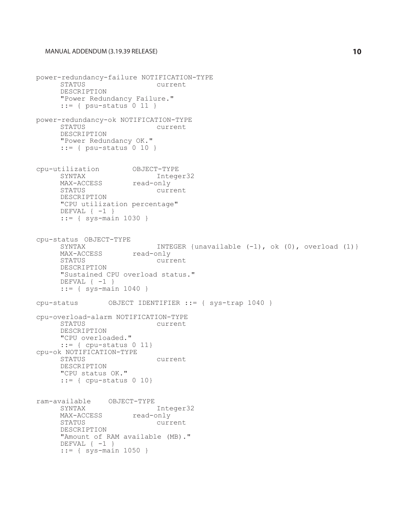```
power-redundancy-failure NOTIFICATION-TYPE
                            current
     DESCRIPTION
      "Power Redundancy Failure."
      ::= { psu-status 0 11 }
power-redundancy-ok NOTIFICATION-TYPE
                            current
     DESCRIPTION
      "Power Redundancy OK."
      ::= { psu-status 0 10 }
cpu-utilization OBJECT-TYPE
     SYNTAX Integer32<br>
MAX-ACCESS read-only
     MAX-ACCESS read-only<br>STATUS
                            current
     DESCRIPTION
     "CPU utilization percentage"
     DEFVAL \{-1\}::= { sys-main 1030 }
cpu-status OBJECT-TYPE
                      INTEGER {unavailable (-1), ok (0), overload (1)}<br>read-only
     MAX-ACCESS<br>STATUS
                            current
     DESCRIPTION
     "Sustained CPU overload status."
     DEFVAL \{-1\}::= { sys-main 1040 }
cpu-status OBJECT IDENTIFIER ::= { sys-trap 1040 }
cpu-overload-alarm NOTIFICATION-TYPE
                           current
     DESCRIPTION
     "CPU overloaded."
     ::= { cpu-status 0 11}
cpu-ok NOTIFICATION-TYPE
                           current
     DESCRIPTION
     "CPU status OK."
     ::= { cpu-status 0 10}
ram-available OBJECT-TYPE
     SYNTAX Integer32<br>MAX-ACCESS read-only
     MAX-ACCESS<br>STATUS
                         current
     DESCRIPTION
     "Amount of RAM available (MB)."
     DEFVAL \{-1\}::= { sys-main 1050 }
```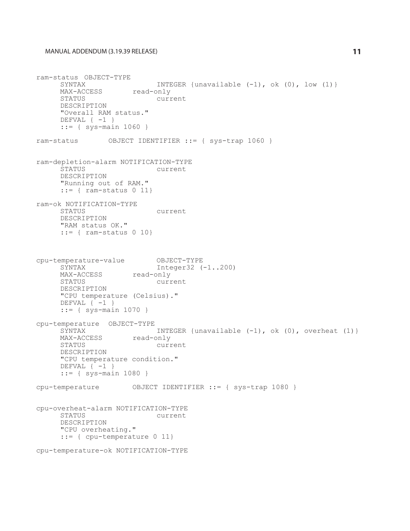ram-status OBJECT-TYPE INTEGER {unavailable  $(-1)$ , ok  $(0)$ , low  $(1)$ } MAX-ACCESS read-only<br>STATUS curr current DESCRIPTION "Overall RAM status." DEFVAL  $\{-1\}$ ::= { sys-main 1060 } ram-status OBJECT IDENTIFIER ::= { sys-trap 1060 } ram-depletion-alarm NOTIFICATION-TYPE current DESCRIPTION "Running out of RAM." ::= { ram-status 0 11} ram-ok NOTIFICATION-TYPE current DESCRIPTION "RAM status OK." ::= { ram-status 0 10} cpu-temperature-value OBJECT-TYPE Integer32 (-1..200)<br>read-only MAX-ACCESS<br>STATUS current DESCRIPTION "CPU temperature (Celsius)." DEFVAL  $\{-1\}$ ::= { sys-main 1070 } cpu-temperature OBJECT-TYPE INTEGER {unavailable  $(-1)$ , ok  $(0)$ , overheat  $(1)$ }<br>read-only MAX-ACCESS<br>STATUS current DESCRIPTION "CPU temperature condition." DEFVAL  $\{-1\}$ ::= { sys-main 1080 } cpu-temperature OBJECT IDENTIFIER ::= { sys-trap 1080 } cpu-overheat-alarm NOTIFICATION-TYPE current DESCRIPTION "CPU overheating." ::= { cpu-temperature 0 11} cpu-temperature-ok NOTIFICATION-TYPE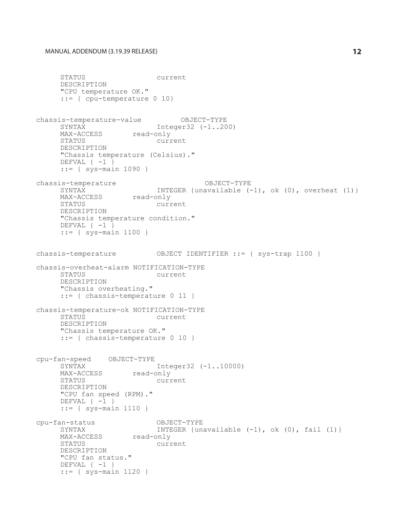```
STATUS current
     DESCRIPTION
     "CPU temperature OK."
     ::= { cpu-temperature 0 10}
chassis-temperature-value OBJECT-TYPE
     SYNTAX Integer32 (-1..200)
     MAX-ACCESS read-only
     STATUS current
     DESCRIPTION
     "Chassis temperature (Celsius)."
     DEFVAL \{-1\}::= { sys-main 1090 }
chassis-temperature OBJECT-TYPE<br>-) SYNTAX TNTEGER {unavailable
                     INTEGER {unavailable (-1), ok (0), overheat (1)}<br>read-only
     MAX-ACCESS<br>STATUS
                           current
     DESCRIPTION
     "Chassis temperature condition."
     DEFVAL \{-1\}::= { sys-main 1100 }
chassis-temperature OBJECT IDENTIFIER ::= { sys-trap 1100 }
chassis-overheat-alarm NOTIFICATION-TYPE
                           current
     DESCRIPTION
     "Chassis overheating."
     ::= { chassis-temperature 0 11 }
chassis-temperature-ok NOTIFICATION-TYPE
                          current
     DESCRIPTION
     "Chassis temperature OK."
     ::= { chassis-temperature 0 10 }
cpu-fan-speed OBJECT-TYPE
                     Integer32 (-1..10000)<br>read-only
     MAX-ACCESS<br>STATUS
                          current
     DESCRIPTION
     "CPU fan speed (RPM)."
     DEFVAL \{-1\}::= { sys-main 1110 }
cpu-fan-status OBJECT-TYPE
                     INTEGER {unavailable (-1), ok (0), fail (1)}<br>read-only
     MAX-ACCESS<br>STATUS
                          current
     DESCRIPTION
     "CPU fan status."
     DEFVAL \{-1\}::= { sys-main 1120 }
```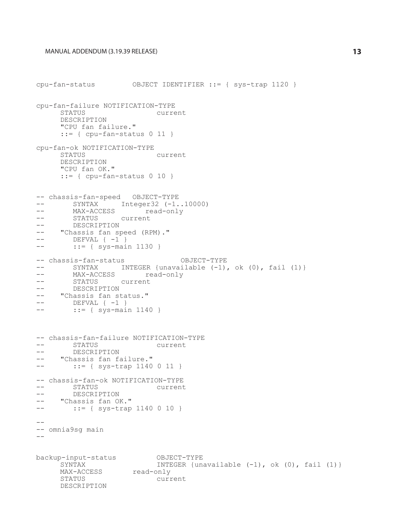```
cpu-fan-status OBJECT IDENTIFIER ::= { sys-trap 1120 }
cpu-fan-failure NOTIFICATION-TYPE
                                  current
       DESCRIPTION
       "CPU fan failure."
       ::= { cpu-fan-status 0 11 }
cpu-fan-ok NOTIFICATION-TYPE
                                 current
       DESCRIPTION
       "CPU fan OK."
       ::= { cpu-fan-status 0 10 }
-- chassis-fan-speed OBJECT-TYPE
-- SYNTAX Integer32 (-1..10000)<br>-- MAX-ACCESS read-only
-- MAX-ACCESS read-only<br>-- STATUS Current
-- STATUS current
-- DESCRIPTION<br>-- "Chassis fan sn
-- "Chassis fan speed (RPM)."
-- DEFVAL { -1}<br>\cdot \cdot = \{ \text{sys} - \text{maj}::= { sys-main 1130 }
-- chassis-fan-status OBJECT-TYPE<br>-- SYNTAX INTEGER (unavailable (-1)
-- SYNTAX INTEGER {unavailable (-1), ok (0), fail (1)}<br>-- MAX-ACCESS read-only
-- MAX-ACCESS read-only<br>-- STATUS current
-- STATUS current<br>-- DESCRIPTION
-- DESCRIPTION<br>-- "Chassis fan st
-- "Chassis fan status."<br>-- DEFVAL { -1 }
-- DEFVAL { -1 }<br>\cdot \cdot = 1 sys-mai
          ::= { sys-main 1140 }
-- chassis-fan-failure NOTIFICATION-TYPE<br>-- STATUS current
-- STATUS current<br>-- DESCRIPTION
-- DESCRIPTION<br>-- "Chassis fan failure."
-- :: = { sys-trap 1140 0 11 }-- chassis-fan-ok NOTIFICATION-TYPE<br>-- STATUS current
-- DESCRIPTION<br>-- "Chassis fan OK."<br>-- ::= { sys-trap 1140 0 10 }
--- omnia9sg main
- -backup-input-status OBJECT-TYPE<br>SYNTAX INTEGER {un
                                   INTEGER {unavailable (-1), ok (0), fail (1) }
       MAX-ACCESS read-only<br>STATUS curr
                              current
       DESCRIPTION
```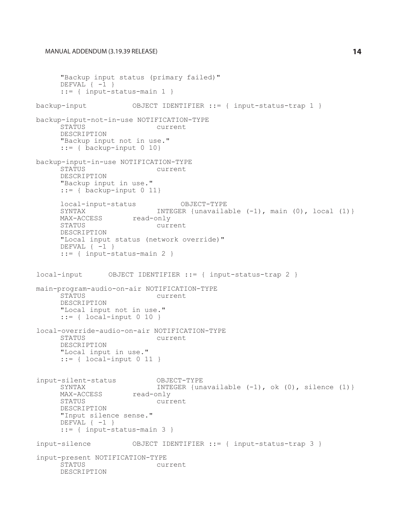```
"Backup input status (primary failed)"
     DEFVAL \{-1\}::= { input-status-main 1 }
backup-input OBJECT IDENTIFIER ::= { input-status-trap 1 }
backup-input-not-in-use NOTIFICATION-TYPE
                           current
     DESCRIPTION
     "Backup input not in use."
     ::= { backup-input 0 10}
backup-input-in-use NOTIFICATION-TYPE
                            current
     DESCRIPTION
     "Backup input in use."
     ::= { backup-input 0 11}
     local-input-status OBJECT-TYPE<br>SYNTAX INTEGER {unavaila
     SYNTAX INTEGER {unavailable (-1), main (0), local (1) }<br>MAX-ACCESS read-only
     MAX-ACCESS read-only<br>STATUS curr
                           current
     DESCRIPTION
     "Local input status (network override)"
     DEFVAL \{-1\}::= { input-status-main 2 }
local-input OBJECT IDENTIFIER ::= { input-status-trap 2 }
main-program-audio-on-air NOTIFICATION-TYPE
                           current
     DESCRIPTION
     "Local input not in use."
     ::= { local-input 0 10 }
local-override-audio-on-air NOTIFICATION-TYPE
                            current
     DESCRIPTION
     "Local input in use."
     ::= { local-input 0 11 }

input-silent-status OBJECT-TYPE
     SYNTAX INTEGER {unavailable (-1), ok (0), silence (1) }<br>MAX-ACCESS read-only
     MAX-ACCESS<br>STATUS
                           current
     DESCRIPTION
     "Input silence sense."
     DEFVAL \{-1\}::= { input-status-main 3 }
input-silence OBJECT IDENTIFIER ::= { input-status-trap 3 }
input-present NOTIFICATION-TYPE
                           current
     DESCRIPTION
```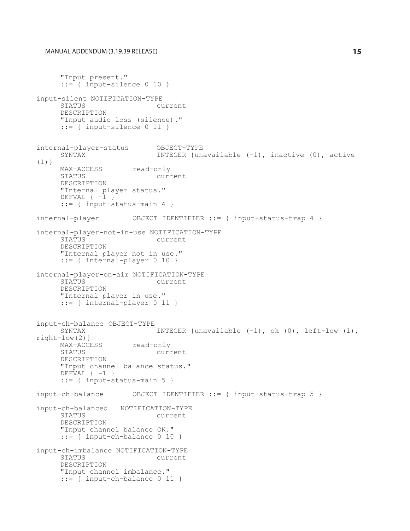```
"Input present."
      ::= { input-silence 0 10 }
input-silent NOTIFICATION-TYPE
                           current
     DESCRIPTION
      "Input audio loss (silence)."
      ::= { input-silence 0 11 }
internal-player-status OBJECT-TYPE<br>SYNTAX INTEGER {un
                            INTEGER {unavailable (-1), inactive (0), active
(1)}
     MAX-ACCESS read-only<br>STATUS
                            current
     DESCRIPTION
      "Internal player status."
     DEFVAL \{-1\}::= { input-status-main 4 }
internal-player OBJECT IDENTIFIER ::= { input-status-trap 4 }
internal-player-not-in-use NOTIFICATION-TYPE
                            current
     DESCRIPTION
      "Internal player not in use."
      ::= { internal-player 0 10 }
internal-player-on-air NOTIFICATION-TYPE
                            current
     DESCRIPTION
     "Internal player in use."
     ::= { internal-player 0 11 }
input-ch-balance OBJECT-TYPE
                             INTEGER {unavailable (-1), ok (0), left-low (1),
right-low(2)}
     MAX-ACCESS read-only<br>STATUS curr
                            current
     DESCRIPTION
      "Input channel balance status."
     DEFVAL \{-1\}::= { input-status-main 5 }
input-ch-balance OBJECT IDENTIFIER ::= { input-status-trap 5 }
input-ch-balanced NOTIFICATION-TYPE
                           current
     DESCRIPTION
     "Input channel balance OK."
     ::= { input-ch-balance 0 10 }
input-ch-imbalance NOTIFICATION-TYPE
                           current
     DESCRIPTION
     "Input channel imbalance."
     ::= { input-ch-balance 0 11 }
```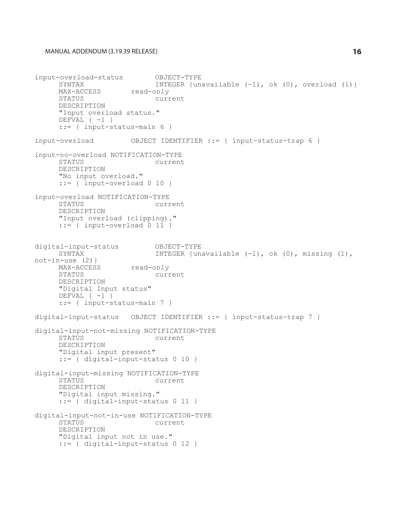```
input-overload-status OBJECT-TYPE
      SYNTAX                INTEGER {unavailable (-1), ok (0), overload (1)}
     MAX-ACCESS read-only<br>STATUS curr
                             current
     DESCRIPTION
      "Input overload status."
      DEFVAL \{-1\}::= { input-status-main 6 }
input-overload OBJECT IDENTIFIER ::= { input-status-trap 6 }
input-no-overload NOTIFICATION-TYPE
                             current
      DESCRIPTION
      "No input overload."
      ::= { input-overload 0 10 }
input-overload NOTIFICATION-TYPE
                            current
     DESCRIPTION
      "Input overload (clipping)."
      ::= { input-overload 0 11 }
digital-input-status OBJECT-TYPE<br>SYNTAX INTEGER {un
                             INTEGER {unavailable (-1), ok (0), missing (1),
not-in-use (2)}
     MAX-ACCESS read-only<br>STATUS curr
                             current
     DESCRIPTION
     "Digital Input status"
      DEFVAL \{-1\}::= { input-status-main 7 }
digital-input-status OBJECT IDENTIFIER ::= { input-status-trap 7 }
digital-input-not-missing NOTIFICATION-TYPE<br>STATUS current
                              current
      DESCRIPTION
      "Digital input present"
      ::= { digital-input-status 0 10 }
digital-input-missing NOTIFICATION-TYPE<br>STATUS current
                             current
      DESCRIPTION
      "Digital input missing."
      ::= { digital-input-status 0 11 }
digital-input-not-in-use NOTIFICATION-TYPE<br>STATUS current
                       current
      DESCRIPTION
      "Digital input not in use."
      ::= { digital-input-status 0 12 }
```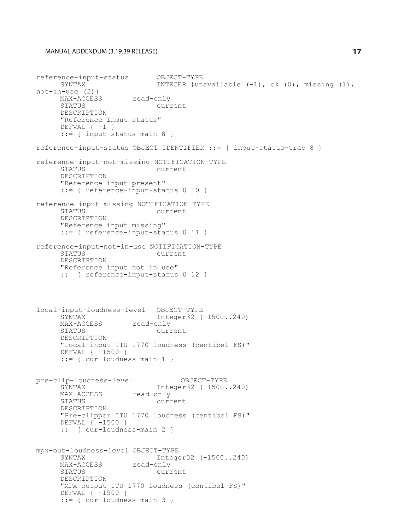```
reference-input-status OBJECT-TYPE<br>SYNTAX INTEGER {un
                              INTEGER {unavailable (-1), ok (0), missing (1),
not-in-use (2)}
     MAX-ACCESS read-only<br>STATUS CULTI
                             current
      DESCRIPTION
      "Reference Input status"
      DEFVAL \{-1\}::= { input-status-main 8 }
reference-input-status OBJECT IDENTIFIER ::= { input-status-trap 8 }
reference-input-not-missing NOTIFICATION-TYPE
                              current
      DESCRIPTION
      "Reference input present"
      ::= { reference-input-status 0 10 }
reference-input-missing NOTIFICATION-TYPE
                              current
      DESCRIPTION
      "Reference input missing"
      ::= { reference-input-status 0 11 }
reference-input-not-in-use NOTIFICATION-TYPE
                             current
     DESCRIPTION
      "Reference input not in use"
      ::= { reference-input-status 0 12 }
local-input-loudness-level OBJECT-TYPE
                      Integer32 (-1500..240)<br>read-only
     MAX-ACCESS<br>STATUS
                              current
     DESCRIPTION
      "Local input ITU 1770 loudness (centibel FS)"
     DEFVAL { -1500 }
      ::= { cur-loudness-main 1 }
pre-clip-loudness-level OBJECT-TYPE<br>SYNTAX Integer32 (-1500.
                      Integer32 (-1500..240)<br>read-only
     MAX-ACCESS<br>STATUS
                             current
     DESCRIPTION
      "Pre-clipper ITU 1770 loudness (centibel FS)"
     DEFVAL { -1500 }
      ::= { cur-loudness-main 2 }
mpx-out-loudness-level OBJECT-TYPE
                      Integer32 (-1500..240)<br>read-only
     MAX-ACCESS<br>STATUS
                             current
     DESCRIPTION
      "MPX output ITU 1770 loudness (centibel FS)"
     DEFVAL { -1500 }
      ::= { cur-loudness-main 3 }
```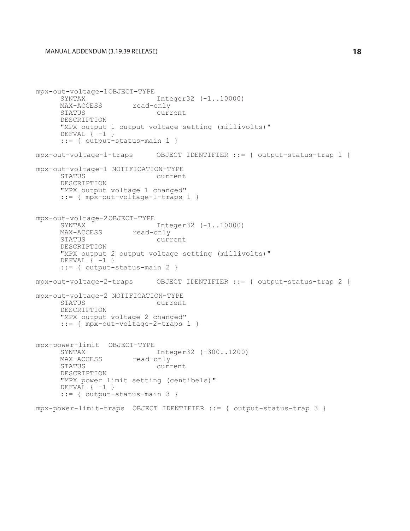```
mpx-out-voltage-1OBJECT-TYPE
                       Integer32 (-1..10000)<br>read-only
     MAX-ACCESS<br>STATUS
                             current
     DESCRIPTION
      "MPX output 1 output voltage setting (millivolts)"
      DEFVAL \{-1\}::= { output-status-main 1 }
mpx-out-voltage-1-traps OBJECT IDENTIFIER ::= { output-status-trap 1 }
mpx-out-voltage-1 NOTIFICATION-TYPE
                             current
     DESCRIPTION
      "MPX output voltage 1 changed"
      ::= { mpx-out-voltage-1-traps 1 }
mpx-out-voltage-2OBJECT-TYPE
     SYNTAX Integer32 (-1..10000)<br>MAX-ACCESS read-only
     MAX-ACCESS read-only<br>STATUS curr
                             current
     DESCRIPTION
     "MPX output 2 output voltage setting (millivolts)"
     DEFVAL \{-1\}::= { output-status-main 2 }
mpx-out-voltage-2-traps OBJECT IDENTIFIER ::= { output-status-trap 2 }
mpx-out-voltage-2 NOTIFICATION-TYPE
                             current
      DESCRIPTION
      "MPX output voltage 2 changed"
      ::= { mpx-out-voltage-2-traps 1 }
mpx-power-limit OBJECT-TYPE
                       Integer32 (-300..1200)<br>read-only
     MAX-ACCESS<br>STATUS
                             current
     DESCRIPTION
     "MPX power limit setting (centibels)"
     DEFVAL \{-1\}::= { output-status-main 3 }
mpx-power-limit-traps OBJECT IDENTIFIER ::= { output-status-trap 3 }
```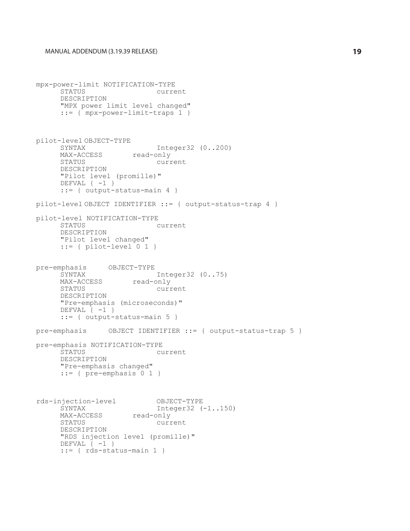```
mpx-power-limit NOTIFICATION-TYPE
                    current
     DESCRIPTION
     "MPX power limit level changed"
     ::= { mpx-power-limit-traps 1 }
pilot-level OBJECT-TYPE
     SYNTAX Integer32 (0..200)
     MAX-ACCESS read-only
     STATUS current
     DESCRIPTION
     "Pilot level (promille)"
     DEFVAL \{-1\}::= { output-status-main 4 }
pilot-level OBJECT IDENTIFIER ::= { output-status-trap 4 }
pilot-level NOTIFICATION-TYPE<br>STATUS
                          current
     DESCRIPTION
     "Pilot level changed"
     ::= { pilot-level 0 1 }
pre-emphasis OBJECT-TYPE
                      Integer32 (0..75)<br>read-only
     MAX-ACCESS<br>STATUS
                           current
     DESCRIPTION
     "Pre-emphasis (microseconds)"
     DEFVAL \{-1\}::= { output-status-main 5 }
pre-emphasis OBJECT IDENTIFIER ::= { output-status-trap 5 }
pre-emphasis NOTIFICATION-TYPE
                           current
     DESCRIPTION
     "Pre-emphasis changed"
     ::= { pre-emphasis 0 1 }
rds-injection-level OBJECT-TYPE
                    Integer32 (-1..150)<br>read-only
     MAX-ACCESS<br>STATUS
                        current
     DESCRIPTION
     "RDS injection level (promille)"
     DEFVAL \{-1\}::= { rds-status-main 1 }
```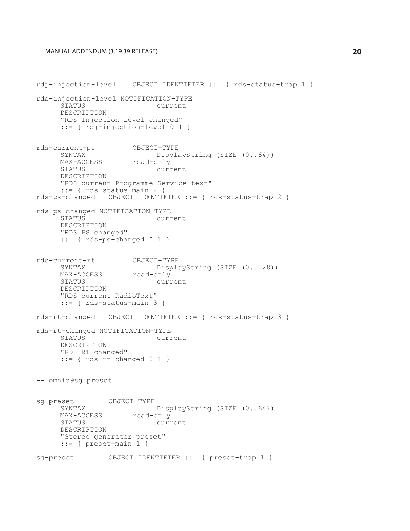```
rdj-injection-level OBJECT IDENTIFIER ::= { rds-status-trap 1 }
rds-injection-level NOTIFICATION-TYPE
                           current
     DESCRIPTION
     "RDS Injection Level changed"
     ::= { rdj-injection-level 0 1 }
rds-current-ps OBJECT-TYPE
                      DisplayString (SIZE (0..64))<br>read-only
     MAX-ACCESS<br>STATUS
                           current
     DESCRIPTION
     "RDS current Programme Service text"
     ::= { rds-status-main 2 }
rds-ps-changed OBJECT IDENTIFIER ::= { rds-status-trap 2 }
rds-ps-changed NOTIFICATION-TYPE
                          current
     DESCRIPTION
     "RDS PS changed"
     ::= { rds-ps-changed 0 1 }
rds-current-rt OBJECT-TYPE
     SYNTAX DisplayString (SIZE (0..128))<br>MAX-ACCESS read-only
     MAX-ACCESS<br>STATUS
                           current
     DESCRIPTION
     "RDS current RadioText"
     ::= { rds-status-main 3 }
rds-rt-changed OBJECT IDENTIFIER ::= { rds-status-trap 3 }
rds-rt-changed NOTIFICATION-TYPE
                            current
     DESCRIPTION
     "RDS RT changed"
     ::= { rds-rt-changed 0 1 }
--- omnia9sg preset
-sg-preset OBJECT-TYPE
                      DisplayString (SIZE (0..64))<br>read-only
     MAX-ACCESS<br>STATUS
                           current
     DESCRIPTION
     "Stereo generator preset"
     ::= { preset-main 1 }
sg-preset OBJECT IDENTIFIER ::= { preset-trap 1 }
```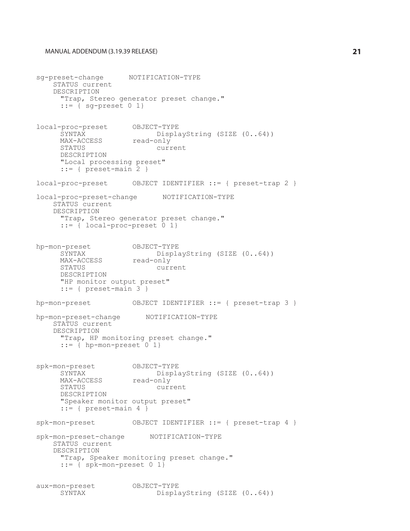sg-preset-change NOTIFICATION-TYPE STATUS current DESCRIPTION "Trap, Stereo generator preset change." ::= { sg-preset 0 1} local-proc-preset OBJECT-TYPE DisplayString (SIZE  $(0..64)$ )<br>read-only MAX-ACCESS<br>STATUS current DESCRIPTION "Local processing preset"  $::=$  { preset-main  $2$  } local-proc-preset OBJECT IDENTIFIER ::= { preset-trap 2 } local-proc-preset-change NOTIFICATION-TYPE STATUS current DESCRIPTION "Trap, Stereo generator preset change."  $::=$   $\{$  local-proc-preset  $0$  1} hp-mon-preset OBJECT-TYPE<br>SYNTAX Displa DisplayString (SIZE  $(0..64)$ )<br>read-only MAX-ACCESS<br>STATUS current DESCRIPTION "HP monitor output preset" ::= { preset-main 3 } hp-mon-preset OBJECT IDENTIFIER ::= { preset-trap 3 } hp-mon-preset-change NOTIFICATION-TYPE STATUS current DESCRIPTION "Trap, HP monitoring preset change."  $::=$  { hp-mon-preset  $0$  1} spk-mon-preset OBJECT-TYPE DisplayString (SIZE  $(0..64)$ )<br>read-only MAX-ACCESS<br>STATUS current DESCRIPTION "Speaker monitor output preset"  $::=$  { preset-main 4 } spk-mon-preset OBJECT IDENTIFIER ::= { preset-trap 4 } spk-mon-preset-change NOTIFICATION-TYPE STATUS current DESCRIPTION "Trap, Speaker monitoring preset change."  $::=$  { spk-mon-preset  $0$  1} aux-mon-preset OBJECT-TYPE<br>SYNTAX Displa DisplayString (SIZE (0..64))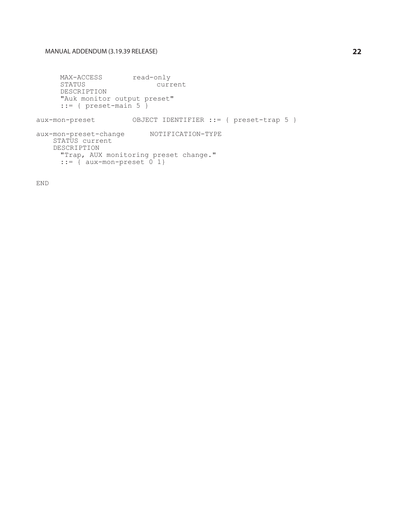MAX-ACCESS read-only<br>STATUS curr current DESCRIPTION "Auk monitor output preset" ::= { preset-main 5 }

aux-mon-preset OBJECT IDENTIFIER ::= { preset-trap 5 }

aux-mon-preset-change NOTIFICATION-TYPE STATUS current DESCRIPTION "Trap, AUX monitoring preset change."  $::=$   $\{$  aux-mon-preset  $0$  1}

END